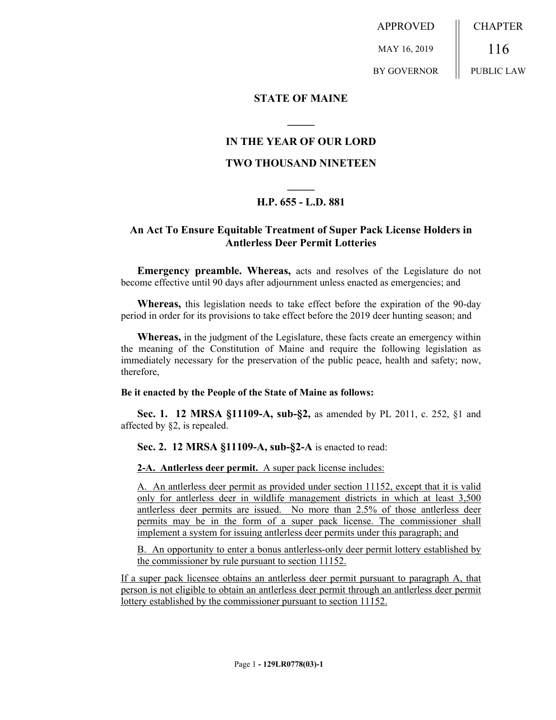APPROVED MAY 16, 2019 BY GOVERNOR CHAPTER 116 PUBLIC LAW

## **STATE OF MAINE**

## **IN THE YEAR OF OUR LORD**

**\_\_\_\_\_**

## **TWO THOUSAND NINETEEN**

# **\_\_\_\_\_ H.P. 655 - L.D. 881**

## **An Act To Ensure Equitable Treatment of Super Pack License Holders in Antlerless Deer Permit Lotteries**

**Emergency preamble. Whereas,** acts and resolves of the Legislature do not become effective until 90 days after adjournment unless enacted as emergencies; and

**Whereas,** this legislation needs to take effect before the expiration of the 90-day period in order for its provisions to take effect before the 2019 deer hunting season; and

**Whereas,** in the judgment of the Legislature, these facts create an emergency within the meaning of the Constitution of Maine and require the following legislation as immediately necessary for the preservation of the public peace, health and safety; now, therefore,

#### **Be it enacted by the People of the State of Maine as follows:**

**Sec. 1. 12 MRSA §11109-A, sub-§2,** as amended by PL 2011, c. 252, §1 and affected by §2, is repealed.

### **Sec. 2. 12 MRSA §11109-A, sub-§2-A** is enacted to read:

**2-A. Antlerless deer permit.** A super pack license includes:

A. An antlerless deer permit as provided under section 11152, except that it is valid only for antlerless deer in wildlife management districts in which at least 3,500 antlerless deer permits are issued. No more than 2.5% of those antlerless deer permits may be in the form of a super pack license. The commissioner shall implement a system for issuing antlerless deer permits under this paragraph; and

B. An opportunity to enter a bonus antlerless-only deer permit lottery established by the commissioner by rule pursuant to section 11152.

If a super pack licensee obtains an antlerless deer permit pursuant to paragraph A, that person is not eligible to obtain an antlerless deer permit through an antlerless deer permit lottery established by the commissioner pursuant to section 11152.